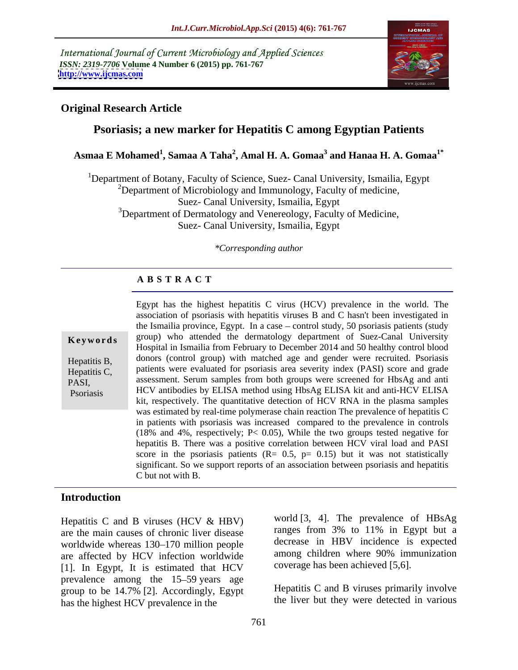International Journal of Current Microbiology and Applied Sciences *ISSN: 2319-7706* **Volume 4 Number 6 (2015) pp. 761-767 <http://www.ijcmas.com>**



#### **Original Research Article**

## **Psoriasis; a new marker for Hepatitis C among Egyptian Patients**

**Asmaa E Mohamed<sup>1</sup> , Samaa A Taha<sup>2</sup> , Amal H. A. Gomaa<sup>3</sup> and Hanaa H. A. Gomaa1\***

<sup>1</sup>Department of Botany, Faculty of Science, Suez- Canal University, Ismailia, Egypt  $2D$ epartment of Microbiology and Immunology, Faculty of medicine, Suez- Canal University, Ismailia, Egypt <sup>3</sup>Department of Dermatology and Venereology, Faculty of Medicine, Suez- Canal University, Ismailia, Egypt

*\*Corresponding author*

### **A B S T R A C T**

| Keywords                                         |
|--------------------------------------------------|
| Hepatitis B,<br>$H$ <sub>anatitic</sub> $\Gamma$ |

Psoriasis

Egypt has the highest hepatitis C virus (HCV) prevalence in the world. The association of psoriasis with hepatitis viruses B and C hasn't been investigated in the Ismailia province, Egypt. In a case  $-$  control study, 50 psoriasis patients (study **Keywords** group) who attended the dermatology department of Suez-Canal University Hospital in Ismailia from February to December 2014 and 50 healthy control blood donors (control group) with matched age and gender were recruited. Psoriasis Hepatitis B, Hepatitis C, patients were evaluated for psoriasis area severity index (PASI) score and grade pasi,<br>
PASI, assessment. Serum samples from both groups were screened for HbsAg and anti HCV antibodies by ELISA method using HbsAg ELISA kit and anti-HCV ELISA kit, respectively. The quantitative detection of HCV RNA in the plasma samples was estimated by real-time polymerase chain reaction The prevalence of hepatitis C in patients with psoriasis was increased compared to the prevalence in controls (18% and 4%, respectively; P< 0.05), While the two groups tested negative for hepatitis B. There was a positive correlation between HCV viral load and PASI score in the psoriasis patients  $(R = 0.5, p = 0.15)$  but it was not statistically significant. So we support reports of an association between psoriasis and hepatitis C but not with B.

#### **Introduction**

Hepatitis C and B viruses (HCV & HBV) are the main causes of chronic liver disease worldwide whereas 130–170 million people are affected by HCV infection worldwide [1]. In Egypt, It is estimated that HCV prevalence among the 15–59 years age group to be 14.7% [2]. Accordingly, Egypt has the highest HCV prevalence in the

world [3, 4]. The prevalence of HBsAg ranges from 3% to 11% in Egypt but a decrease in HBV incidence is expected among children where 90% immunization coverage has been achieved [5,6].

Hepatitis C and B viruses primarily involve the liver but they were detected in various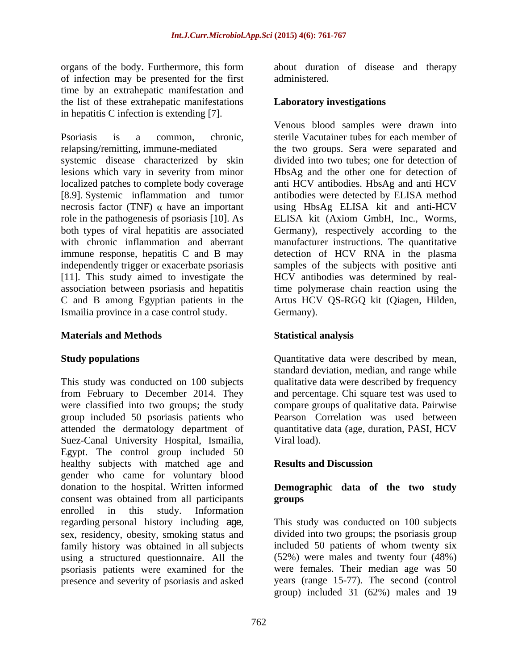organs of the body. Furthermore, this form about duration of disease and therapy of infection may be presented for the first time by an extrahepatic manifestation and the list of these extrahepatic manifestations in hepatitis C infection is extending [7].

systemic disease characterized by skin lesions which vary in severity from minor [8.9]. Systemic inflammation and tumor Ismailia province in a case control study.

#### **Materials and Methods**

This study was conducted on 100 subjects qualitative data were described by frequency from February to December 2014. They and percentage. Chi square test was used to were classified into two groups; the study compare groups of qualitative data. Pairwise group included 50 psoriasis patients who attended the dermatology department of Suez-Canal University Hospital, Ismailia, Egypt. The control group included 50 healthy subjects with matched age and **Results and Discussion** gender who came for voluntary blood donation to the hospital. Written informed consent was obtained from all participants enrolled in this study. Information regarding personal history including **age**, This study was conducted on 100 subjects sex, residency, obesity, smoking status and divided into two groups; the psoriasis group family history was obtained in all subjects using a structured questionnaire. All the psoriasis patients were examined for the presence and severity of psoriasis and asked

administered.

#### **Laboratory investigations**

Psoriasis is a common, chronic, sterile Vacutainer tubes for each member of relapsing/remitting, immune-mediated the two groups. Sera were separated and localized patches to complete body coverage anti HCV antibodies. HbsAg and anti HCV necrosis factor (TNF)  $\alpha$  have an important using HbsAg ELISA kit and anti-HCV role in the pathogenesis of psoriasis [10]. As ELISA kit (Axiom GmbH, Inc., Worms, both types of viral hepatitis are associated Germany), respectively according to the with chronic inflammation and aberrant manufacturer instructions. The quantitative immune response, hepatitis C and B may detection of HCV RNA in the plasma independently trigger or exacerbate psoriasis samples of the subjects with positive anti [11]. This study aimed to investigate the HCV antibodies was determined by realassociation between psoriasis and hepatitis time polymerase chain reaction using the C and B among Egyptian patients in the Artus HCV QS-RGQ kit (Qiagen, Hilden, Venous blood samples were drawn into divided into two tubes; one for detection of HbsAg and the other one for detection of antibodies were detected by ELISA method Germany).

#### **Statistical analysis**

**Study populations Study populations Cuantitative data were described by mean,** standard deviation, median, and range while Pearson Correlation was used between quantitative data (age, duration, PASI, HCV Viral load).

#### **Results and Discussion**

### **Demographic data of the two study groups**

This study was conducted on 100 subjects divided into two groups; the psoriasis group included 50 patients of whom twenty six (52%) were males and twenty four (48%) were females. Their median age was 50 years (range 15-77). The second (control group) included 31 (62%) males and 19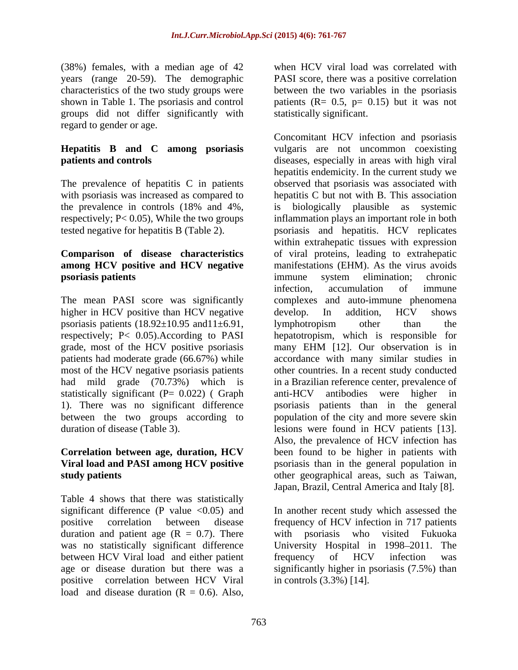(38%) females, with a median age of 42 years (range 20-59). The demographic characteristics of the two study groups were between the two variables in the psoriasis shown in Table 1. The psoriasis and control patients  $(R = 0.5, p = 0.15)$  but it was not groups did not differ significantly with regard to gender or age.

## **Hepatitis B and C among psoriasis**

# **among HCV positive and HCV negative**

higher in HCV positive than HCV negative develop. In addition, HCV shows psoriasis patients  $(18.92 \pm 10.95 \text{ and } 11 \pm 6.91)$ , lymphotropism other than the statistically significant (P= 0.022) (Graph anti-HCV antibodies were higher in

Table 4 shows that there was statistically duration and patient age  $(R = 0.7)$ . There was no statistically significant difference between HCV Viral load and either patient frequency of HCV infection was positive correlation between HCV Viral

PASI score, there was a positive correlation statistically significant.

**patients and controls expecially in areas with high viral** The prevalence of hepatitis C in patients observed that psoriasis was associated with with psoriasis was increased as compared to hepatitis C but not with B. This association the prevalence in controls (18% and 4%, respectively; P< 0.05), While the two groups inflammation plays an important role in both tested negative for hepatitis B (Table 2). psoriasis and hepatitis. HCV replicates **Comparison of disease characteristics** of viral proteins, leading to extrahepatic **psoriasis patients proporting the contract of the contract of the contract of the proportions of the contract of the contract of the contract of the contract of the contract of the contract of the contract of the contra** The mean PASI score was significantly complexes and auto-immune phenomena respectively; P< 0.05).According to PASI hepatotropism, which is responsible for grade, most of the HCV positive psoriasis many EHM [12]. Our observation is in patients had moderate grade (66.67%) while accordance with many similar studies in most of the HCV negative psoriasis patients other countries. In a recent study conducted had mild grade (70.73%) which is in a Brazilian reference center, prevalence of 1). There was no significant difference psoriasis patients than in the general between the two groups according to population of the city and more severe skin duration of disease (Table 3). lesions were found in HCV patients [13]. **Correlation between age, duration, HCV** been found to be higher in patients with **Viral load and PASI among HCV positive** psoriasis than in the general population in **study patients**  other geographical areas, such as Taiwan, (38%) fendals, which are of also the weat method with the stress of the stress of the two stables in the stress of the stress of the stress of the stress of the stress of the stress of the stress of the stress of the stre Concomitant HCV infection and psoriasis vulgaris are not uncommon coexisting hepatitis endemicity. In the current study we is biologically plausible as systemic within extrahepatic tissues with expression manifestations (EHM). As the virus avoids immune system elimination; chronic infection, accumulation of immune develop. In addition, HCV shows lymphotropism other than the anti-HCV antibodies were higher in Also, the prevalence of HCV infection has Japan, Brazil, Central America and Italy [8].

significant difference (P value <0.05) and In another recent study which assessed the positive correlation between disease frequency of HCV infection in 717 patients was no statistically significant difference University Hospital in 1998–2011. The age or disease duration but there was a significantly higher in psoriasis (7.5%) than with psoriasis who visited Fukuoka frequency of HCV infection was in controls (3.3%) [14].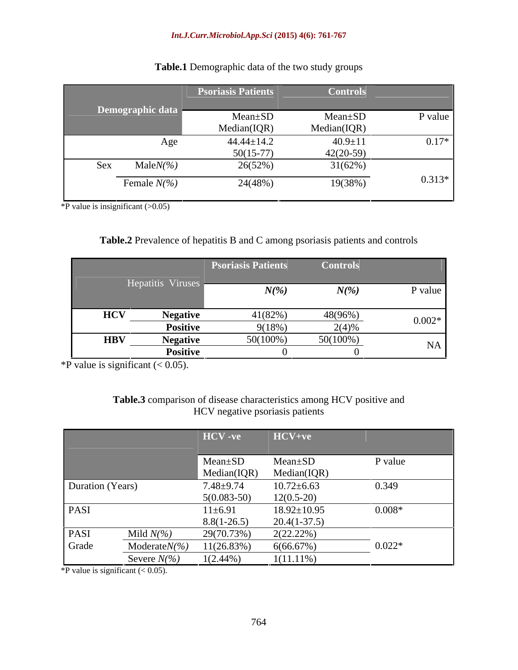#### *Int.J.Curr.Microbiol.App.Sci* **(2015) 4(6): 761-767**

|     |                   | <b>Psoriasis Patients</b> | <b>Controls</b> |          |
|-----|-------------------|---------------------------|-----------------|----------|
|     | Demographic data  | $Mean \pm SD$             | Mean±SD         | P value  |
|     |                   | Median(IQR)               | Median(IQR)     |          |
|     | Age               | $44.44 \pm 14.2$          | $40.9 \pm 11$   | $0.17*$  |
|     |                   | $50(15-77)$               | $42(20-59)$     |          |
| Sex | Male $N\llap/$ %) | 26(52%)                   | 31(62%)         |          |
|     | Female $N\llap/$  | 24(48%)                   | 19(38%)         | $0.313*$ |
|     |                   |                           |                 |          |

## **Table.1** Demographic data of the two study groups

\*P value is insignificant  $(>0.05)$ 

### **Table.2** Prevalence of hepatitis B and C among psoriasis patients and controls

|            |                               | <b>Psoriasis Patients Controls</b> |          |          |
|------------|-------------------------------|------------------------------------|----------|----------|
|            | $\mathbf{u}$ v n $\mathbf{u}$ | $\mathbf{N}$                       | V(0)     | ' valu   |
|            |                               |                                    |          |          |
| <b>HCV</b> | <b>Negative</b>               | 41(82%)                            | 48(96%   | $0.002*$ |
|            | <b>Positive</b>               | $9(18\%)$                          | $2(4)$ % |          |
| <b>HBV</b> | <b>Negative</b>               | $50(100\%)$                        | 50(100%) |          |
|            | <b>Positiv</b>                |                                    |          |          |

\*P value is significant  $(< 0.05)$ .

### **Table.3** comparison of disease characteristics among HCV positive and HCV negative psoriasis patients

|                  |                         | HCV-ve                           | HCV+ve                                      |          |
|------------------|-------------------------|----------------------------------|---------------------------------------------|----------|
|                  |                         | $\vert$ Mean $\pm$ SD            | $Mean \pm SD$                               | P value  |
| Duration (Years) |                         | $7.48 \pm 9.74$                  | Median(IQR) Median(IQR)<br>$10.72 \pm 6.63$ | 0.349    |
| PASI             |                         | $5(0.083 - 50)$<br>$11 \pm 6.91$ | $12(0.5-20)$<br>$18.92 \pm 10.95$           | $0.008*$ |
|                  |                         | $8.8(1-26.5)$                    | $20.4(1-37.5)$                              |          |
| PASI             | Mild $N\frac{6}{6}$     | 29(70.73%)                       | 2(22.22%)                                   |          |
| Grade            | Moderate $N\frac{6}{6}$ | 11(26.83%)                       | $6(66.67\%)$                                | $0.022*$ |
|                  | Severe $N\llap/$ %)     | $1(2.44\%)$                      | $1(11.11\%)$                                |          |

\*P value is significant  $(< 0.05)$ .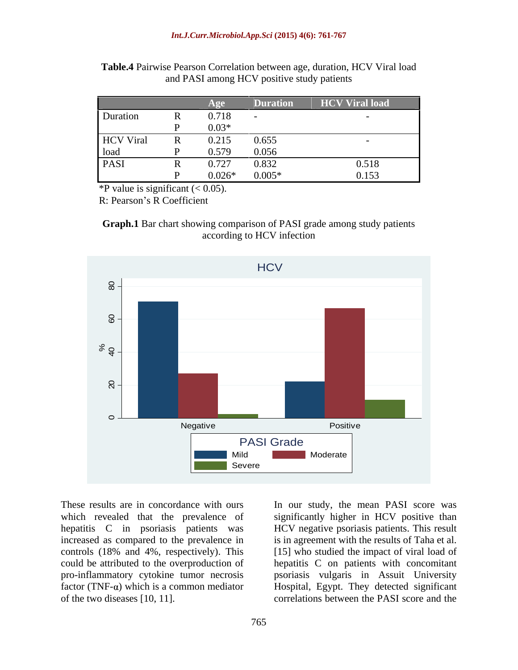|                  |   |          | Duration                                      | <b>HCV Viral load</b>                         |
|------------------|---|----------|-----------------------------------------------|-----------------------------------------------|
| Duration         |   | 0.718    |                                               |                                               |
|                  |   | $0.03*$  |                                               |                                               |
| <b>HCV</b> Viral |   | 0.215    |                                               |                                               |
| load             |   | 0.579    | $\begin{array}{c} 0.655 \\ 0.056 \end{array}$ |                                               |
| PASI             | v | 0.727    |                                               |                                               |
|                  |   | $0.026*$ | $0.832$<br>$0.005\mathrm{*}$                  | $\begin{array}{c} 0.518 \\ 0.153 \end{array}$ |

**Table.4** Pairwise Pearson Correlation between age, duration, HCV Viral load and PASI among HCV positive study patients

\*P value is significant  $(< 0.05)$ .

R: Pearson's R Coefficient





These results are in concordance with ours In our study, the mean PASI score was which revealed that the prevalence of significantly higher in HCV positive than hepatitis C in psoriasis patients was HCV negative psoriasis patients. This result increased as compared to the prevalence in is in agreement with the results of Taha et al. controls (18% and 4%, respectively). This [15] who studied the impact of viral load of could be attributed to the overproduction of hepatitis C on patients with concomitant pro-inflammatory cytokine tumor necrosis psoriasis vulgaris in Assuit University factor (TNF-α) which is a common mediator Hospital, Egypt. They detected significant of the two diseases [10, 11]. correlations between the PASI score and the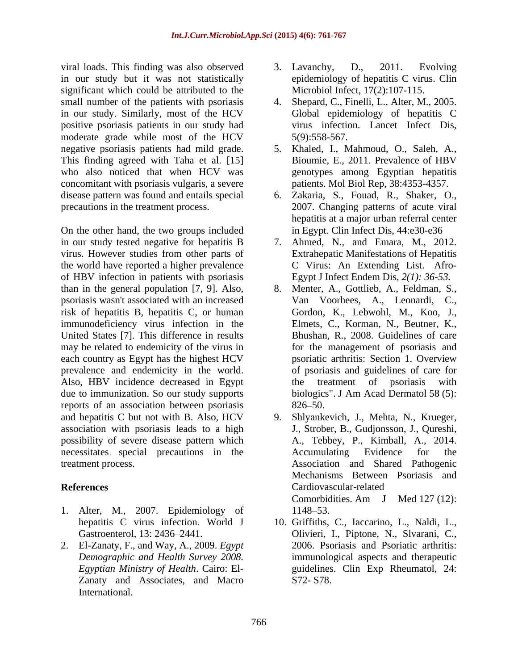viral loads. This finding was also observed 3. Lavanchy, D., 2011. Evolving in our study but it was not statistically significant which could be attributed to the small number of the patients with psoriasis 4. Shepard, C., Finelli, L., Alter, M., 2005. in our study. Similarly, most of the HCV positive psoriasis patients in our study had moderate grade while most of the HCV 5(9):558-567. This finding agreed with Taha et al. [15] who also noticed that when HCV was concomitant with psoriasis vulgaris, a severe disease pattern was found and entails special 6. Zakaria, S., Fouad,R., Shaker, O.,

On the other hand, the two groups included in our study tested negative for hepatitis B 7. Ahmed, N., and Emara, M., 2012. virus. However studies from other parts of the world have reported a higher prevalence of HBV infection in patients with psoriasis psoriasis wasn't associated with an increased risk of hepatitis B, hepatitis C, or human immunodeficiency virus infection in the United States [7]. This difference in results may be related to endemicity of the virus in each country as Egypt has the highest HCV psoriatic arthritis: Section 1. Overview prevalence and endemicity in the world. Also, HBV incidence decreased in Egypt the treatment of psoriasis with due to immunization. So our study supports reports of an association between psoriasis and hepatitis C but not with B. Also, HCV association with psoriasis leads to a high possibility of severe disease pattern which A., Tebbey, P., Kimball, A., 2014. necessitates special precautions in the Accumulating Evidence for the

- 1. Alter, M., 2007. Epidemiology of
- 2. El-Zanaty, F., and Way, A., 2009. *Egypt Egyptian Ministry of Health*. Cairo: El- Zanaty and Associates, and Macro International.
- 3. Lavanchy, D., 2011. Evolving epidemiology of hepatitis C virus. Clin Microbiol Infect, 17(2):107-115.
- 4. Shepard, C., Finelli, L., Alter, M., 2005. Global epidemiology of hepatitis <sup>C</sup> virus infection. Lancet Infect Dis, 5(9):558-567.
- negative psoriasis patients had mild grade. 5. Khaled, I., Mahmoud, O., Saleh, A., Bioumie, E., 2011. Prevalence of HBV genotypes among Egyptian hepatitis patients. Mol Biol Rep, 38:4353-4357.
- precautions in the treatment process. 2007. Changing patterns of acute viral hepatitis at a major urban referral center in Egypt. Clin Infect Dis, 44:e30-e36
	- Extrahepatic Manifestations of Hepatitis C Virus: An Extending List. Afro- Egypt J Infect Endem Dis, *2(1): 36-53.*
- than in the general population [7, 9]. Also, 8. Menter, A., Gottlieb, A., Feldman, S., Van Voorhees, A., Leonardi, C., Gordon, K., Lebwohl, M., Koo, J., Elmets, C., Korman, N., Beutner, K., Bhushan, R., 2008. Guidelines of care for the management of psoriasis and psoriatic arthritis: Section 1. Overview of psoriasis and guidelines of care for the treatment of psoriasis biologics". J Am Acad Dermatol 58 (5):  $826 - 50.$
- treatment process. Association and Shared Pathogenic **References** 9. Shlyankevich, J., Mehta, N., Krueger, J., Strober, B., Gudjonsson, J., Qureshi, A., Tebbey, P., Kimball, A., 2014. Accumulating Evidence for the Mechanisms Between Psoriasis and Cardiovascular-related Comorbidities. Am J Med 127 (12): 1148–53.
	- hepatitis C virus infection. World J 10. Griffiths, C., Iaccarino, L., Naldi, L., Gastroenterol, 13: 2436 2441. Olivieri, I., Piptone, N., Slvarani, C., *Demographic and Health Survey 2008.* immunological aspects and therapeutic 2006. Psoriasis and Psoriatic arthritis: guidelines. Clin Exp Rheumatol, 24: S72- S78.